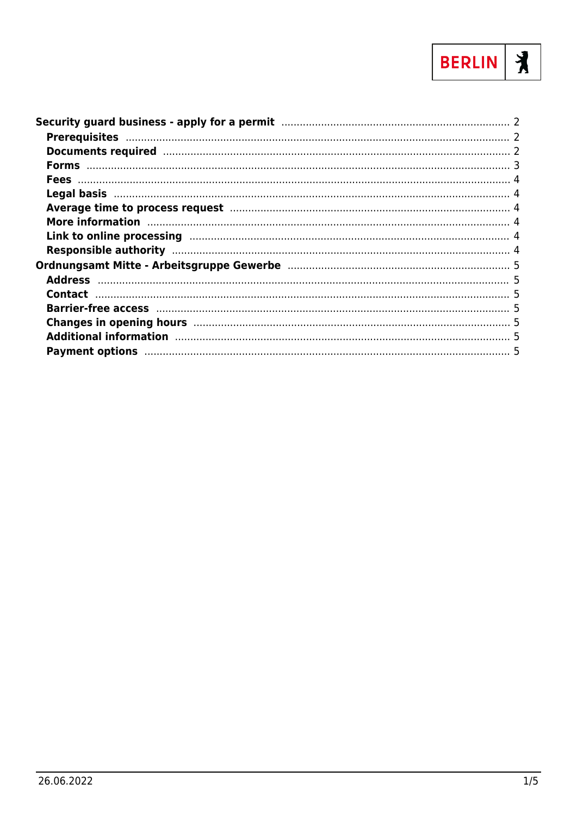

| Average time to process request manufacture and a 4                                                                                                                                                                            |  |
|--------------------------------------------------------------------------------------------------------------------------------------------------------------------------------------------------------------------------------|--|
| More information manufactured and the contract of the contract of the contract of the contract of the contract of the contract of the contract of the contract of the contract of the contract of the contract of the contract |  |
| Link to online processing manufactured and the control of the processing and the control of the control of the                                                                                                                 |  |
|                                                                                                                                                                                                                                |  |
|                                                                                                                                                                                                                                |  |
|                                                                                                                                                                                                                                |  |
|                                                                                                                                                                                                                                |  |
|                                                                                                                                                                                                                                |  |
| Changes in opening hours manufactured and the state of 5                                                                                                                                                                       |  |
| Additional information manufacture and the state of the state of the state of the state of the state of the state of the state of the state of the state of the state of the state of the state of the state of the state of t |  |
|                                                                                                                                                                                                                                |  |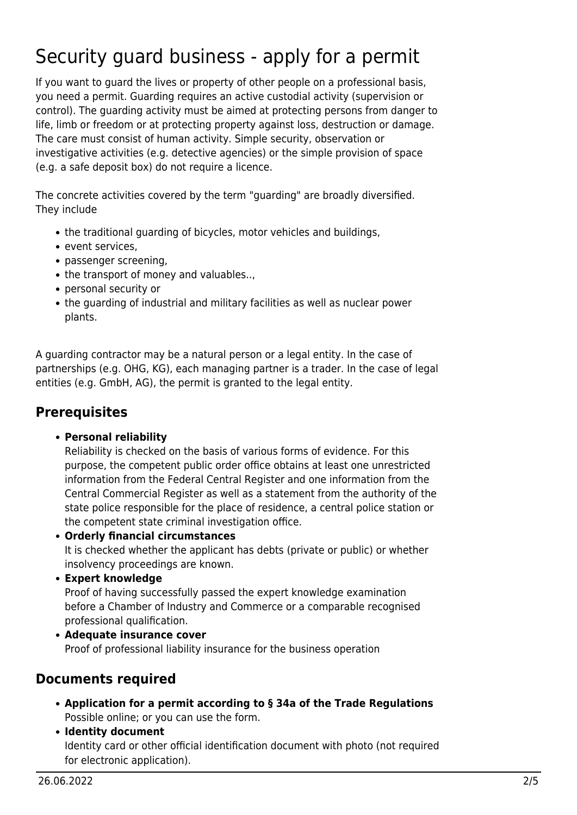# <span id="page-1-0"></span>Security guard business - apply for a permit

If you want to guard the lives or property of other people on a professional basis, you need a permit. Guarding requires an active custodial activity (supervision or control). The guarding activity must be aimed at protecting persons from danger to life, limb or freedom or at protecting property against loss, destruction or damage. The care must consist of human activity. Simple security, observation or investigative activities (e.g. detective agencies) or the simple provision of space (e.g. a safe deposit box) do not require a licence.

The concrete activities covered by the term "guarding" are broadly diversified. They include

- the traditional guarding of bicycles, motor vehicles and buildings,
- event services,
- passenger screening,
- the transport of money and valuables..,
- personal security or
- the guarding of industrial and military facilities as well as nuclear power plants.

A guarding contractor may be a natural person or a legal entity. In the case of partnerships (e.g. OHG, KG), each managing partner is a trader. In the case of legal entities (e.g. GmbH, AG), the permit is granted to the legal entity.

#### <span id="page-1-1"></span>**Prerequisites**

**Personal reliability**

Reliability is checked on the basis of various forms of evidence. For this purpose, the competent public order office obtains at least one unrestricted information from the Federal Central Register and one information from the Central Commercial Register as well as a statement from the authority of the state police responsible for the place of residence, a central police station or the competent state criminal investigation office.

**Orderly financial circumstances**

It is checked whether the applicant has debts (private or public) or whether insolvency proceedings are known.

**Expert knowledge**

Proof of having successfully passed the expert knowledge examination before a Chamber of Industry and Commerce or a comparable recognised professional qualification.

**Adequate insurance cover** Proof of professional liability insurance for the business operation

#### <span id="page-1-2"></span>**Documents required**

- **Application for a permit according to § 34a of the Trade Regulations** Possible online; or you can use the form.
- **Identity document** Identity card or other official identification document with photo (not required for electronic application).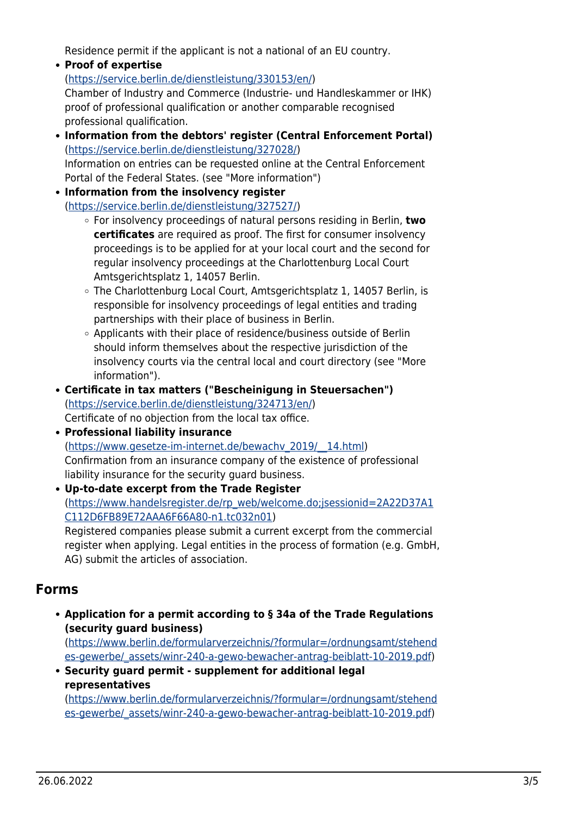Residence permit if the applicant is not a national of an EU country.

- **Proof of expertise** ([https://service.berlin.de/dienstleistung/330153/en/\)](https://service.berlin.de/dienstleistung/330153/en/) Chamber of Industry and Commerce (Industrie- und Handleskammer or IHK) proof of professional qualification or another comparable recognised professional qualification.
- **Information from the debtors' register (Central Enforcement Portal)** (<https://service.berlin.de/dienstleistung/327028/>) Information on entries can be requested online at the Central Enforcement Portal of the Federal States. (see "More information")
- **Information from the insolvency register** (<https://service.berlin.de/dienstleistung/327527/>)
	- For insolvency proceedings of natural persons residing in Berlin, **two certificates** are required as proof. The first for consumer insolvency proceedings is to be applied for at your local court and the second for regular insolvency proceedings at the Charlottenburg Local Court Amtsgerichtsplatz 1, 14057 Berlin.
	- The Charlottenburg Local Court, Amtsgerichtsplatz 1, 14057 Berlin, is responsible for insolvency proceedings of legal entities and trading partnerships with their place of business in Berlin.
	- Applicants with their place of residence/business outside of Berlin should inform themselves about the respective jurisdiction of the insolvency courts via the central local and court directory (see "More information").
- **Certificate in tax matters ("Bescheinigung in Steuersachen")** ([https://service.berlin.de/dienstleistung/324713/en/\)](https://service.berlin.de/dienstleistung/324713/en/) Certificate of no objection from the local tax office.
- **Professional liability insurance** ([https://www.gesetze-im-internet.de/bewachv\\_2019/\\_\\_14.html\)](https://www.gesetze-im-internet.de/bewachv_2019/__14.html) Confirmation from an insurance company of the existence of professional liability insurance for the security guard business.
- **Up-to-date excerpt from the Trade Register** ([https://www.handelsregister.de/rp\\_web/welcome.do;jsessionid=2A22D37A1](https://www.handelsregister.de/rp_web/welcome.do;jsessionid=2A22D37A1C112D6FB89E72AAA6F66A80-n1.tc032n01) [C112D6FB89E72AAA6F66A80-n1.tc032n01](https://www.handelsregister.de/rp_web/welcome.do;jsessionid=2A22D37A1C112D6FB89E72AAA6F66A80-n1.tc032n01)) Registered companies please submit a current excerpt from the commercial

register when applying. Legal entities in the process of formation (e.g. GmbH, AG) submit the articles of association.

### <span id="page-2-0"></span>**Forms**

**Application for a permit according to § 34a of the Trade Regulations (security guard business)**

([https://www.berlin.de/formularverzeichnis/?formular=/ordnungsamt/stehend](https://www.berlin.de/formularverzeichnis/?formular=/ordnungsamt/stehendes-gewerbe/_assets/winr-240-a-gewo-bewacher-antrag-beiblatt-10-2019.pdf) [es-gewerbe/\\_assets/winr-240-a-gewo-bewacher-antrag-beiblatt-10-2019.pdf](https://www.berlin.de/formularverzeichnis/?formular=/ordnungsamt/stehendes-gewerbe/_assets/winr-240-a-gewo-bewacher-antrag-beiblatt-10-2019.pdf))

**Security guard permit - supplement for additional legal representatives**

([https://www.berlin.de/formularverzeichnis/?formular=/ordnungsamt/stehend](https://www.berlin.de/formularverzeichnis/?formular=/ordnungsamt/stehendes-gewerbe/_assets/winr-240-a-gewo-bewacher-antrag-beiblatt-10-2019.pdf) [es-gewerbe/\\_assets/winr-240-a-gewo-bewacher-antrag-beiblatt-10-2019.pdf](https://www.berlin.de/formularverzeichnis/?formular=/ordnungsamt/stehendes-gewerbe/_assets/winr-240-a-gewo-bewacher-antrag-beiblatt-10-2019.pdf))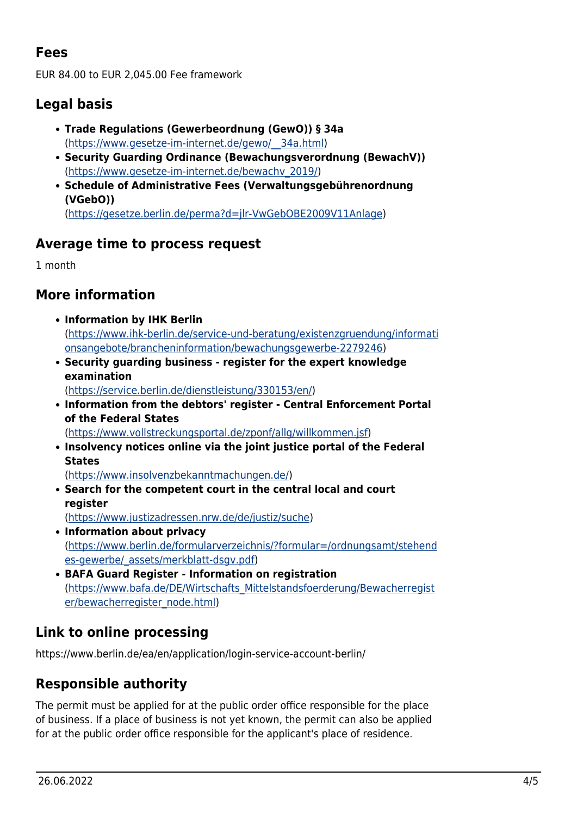# **Fees**

EUR 84.00 to EUR 2,045.00 Fee framework

# <span id="page-3-1"></span>**Legal basis**

- **Trade Regulations (Gewerbeordnung (GewO)) § 34a** ([https://www.gesetze-im-internet.de/gewo/\\_\\_34a.html](https://www.gesetze-im-internet.de/gewo/__34a.html))
- **Security Guarding Ordinance (Bewachungsverordnung (BewachV))** ([https://www.gesetze-im-internet.de/bewachv\\_2019/\)](https://www.gesetze-im-internet.de/bewachv_2019/)
- **Schedule of Administrative Fees (Verwaltungsgebührenordnung (VGebO))** ([https://gesetze.berlin.de/perma?d=jlr-VwGebOBE2009V11Anlage\)](https://gesetze.berlin.de/perma?d=jlr-VwGebOBE2009V11Anlage)

## <span id="page-3-2"></span>**Average time to process request**

1 month

### <span id="page-3-3"></span>**More information**

- **Information by IHK Berlin** ([https://www.ihk-berlin.de/service-und-beratung/existenzgruendung/informati](https://www.ihk-berlin.de/service-und-beratung/existenzgruendung/informationsangebote/brancheninformation/bewachungsgewerbe-2279246) [onsangebote/brancheninformation/bewachungsgewerbe-2279246\)](https://www.ihk-berlin.de/service-und-beratung/existenzgruendung/informationsangebote/brancheninformation/bewachungsgewerbe-2279246)
- **Security guarding business register for the expert knowledge examination** ([https://service.berlin.de/dienstleistung/330153/en/\)](https://service.berlin.de/dienstleistung/330153/en/)
- **Information from the debtors' register Central Enforcement Portal of the Federal States**

(<https://www.vollstreckungsportal.de/zponf/allg/willkommen.jsf>)

**Insolvency notices online via the joint justice portal of the Federal States**

(<https://www.insolvenzbekanntmachungen.de/>)

**Search for the competent court in the central local and court register**

([https://www.justizadressen.nrw.de/de/justiz/suche\)](https://www.justizadressen.nrw.de/de/justiz/suche)

- **Information about privacy** ([https://www.berlin.de/formularverzeichnis/?formular=/ordnungsamt/stehend](https://www.berlin.de/formularverzeichnis/?formular=/ordnungsamt/stehendes-gewerbe/_assets/merkblatt-dsgv.pdf) [es-gewerbe/\\_assets/merkblatt-dsgv.pdf\)](https://www.berlin.de/formularverzeichnis/?formular=/ordnungsamt/stehendes-gewerbe/_assets/merkblatt-dsgv.pdf)
- **BAFA Guard Register Information on registration** ([https://www.bafa.de/DE/Wirtschafts\\_Mittelstandsfoerderung/Bewacherregist](https://www.bafa.de/DE/Wirtschafts_Mittelstandsfoerderung/Bewacherregister/bewacherregister_node.html) [er/bewacherregister\\_node.html](https://www.bafa.de/DE/Wirtschafts_Mittelstandsfoerderung/Bewacherregister/bewacherregister_node.html))

# <span id="page-3-4"></span>**Link to online processing**

https://www.berlin.de/ea/en/application/login-service-account-berlin/

# <span id="page-3-5"></span>**Responsible authority**

<span id="page-3-0"></span>The permit must be applied for at the public order office responsible for the place of business. If a place of business is not yet known, the permit can also be applied for at the public order office responsible for the applicant's place of residence.